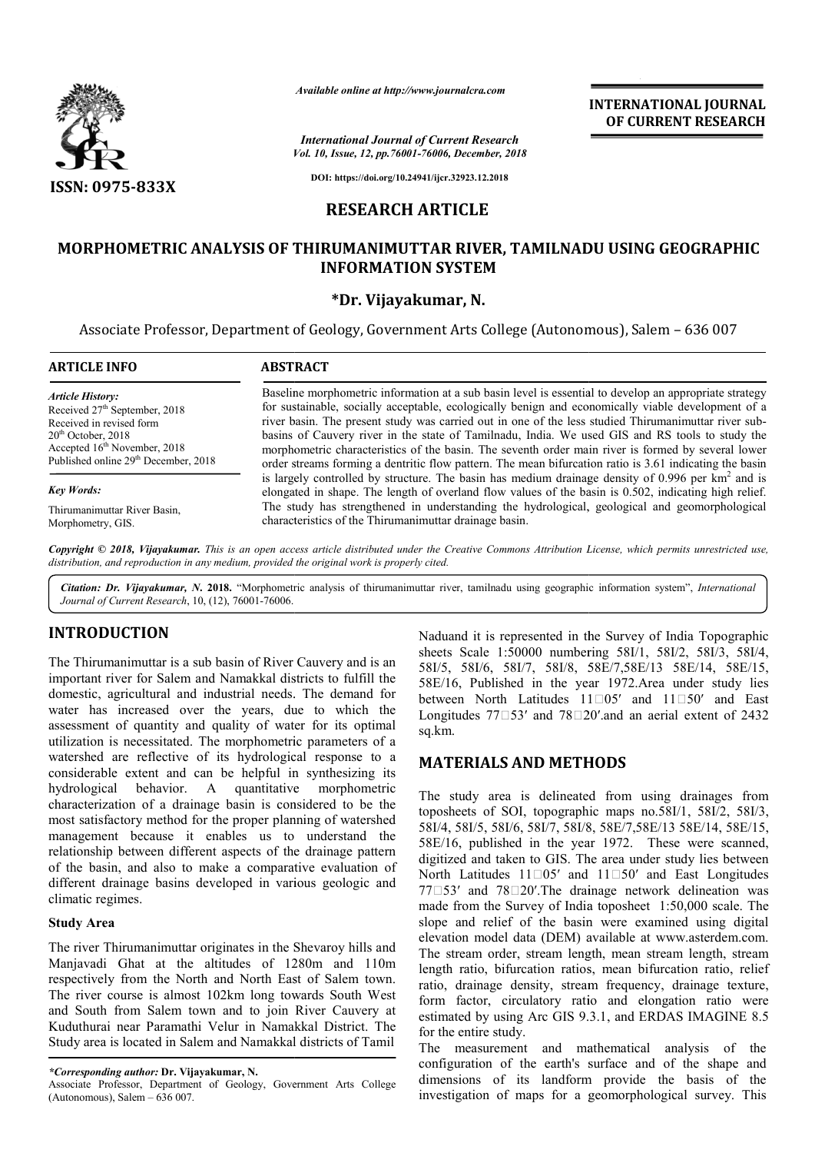

*Available online at http://www.journalcra.com*

*Vol. 10, Issue, 12, pp.76001-76006, December, 2018 International Journal of Current Research*

**INTERNATIONAL JOURNAL OF CURRENT RESEARCH**

**DOI: https://doi.org/10.24941/ijcr.32923.12.2018**

# **RESEARCH ARTICLE**

# **MORPHOMETRIC ANALYSIS OF THIRUMANIMUTTAR RIVER, TAMILNADU USING GEOGRAPHIC INFORMATION SYSTEM**

## **\*Dr. Vijayakumar, N.**

Associate Professor, Department of Geology, Government Arts College (Autonomous), Salem - 636 007

| <b>ARTICLE INFO</b>                              | <b>ABSTRACT</b>                                                                                                                                                                                                |  |  |  |  |
|--------------------------------------------------|----------------------------------------------------------------------------------------------------------------------------------------------------------------------------------------------------------------|--|--|--|--|
| <b>Article History:</b>                          | Baseline morphometric information at a sub basin level is essential to develop an appropriate strategy                                                                                                         |  |  |  |  |
| Received 27 <sup>th</sup> September, 2018        | for sustainable, socially acceptable, ecologically benign and economically viable development of a                                                                                                             |  |  |  |  |
| Received in revised form                         | river basin. The present study was carried out in one of the less studied Thirumanimuttar river sub-                                                                                                           |  |  |  |  |
| $20th$ October, 2018                             | basins of Cauvery river in the state of Tamilnadu, India. We used GIS and RS tools to study the                                                                                                                |  |  |  |  |
| Accepted 16 <sup>th</sup> November, 2018         | morphometric characteristics of the basin. The seventh order main river is formed by several lower                                                                                                             |  |  |  |  |
| Published online 29 <sup>th</sup> December, 2018 | order streams forming a dentritic flow pattern. The mean bifurcation ratio is 3.61 indicating the basin                                                                                                        |  |  |  |  |
| <b>Key Words:</b>                                | is largely controlled by structure. The basin has medium drainage density of $0.996$ per $km2$ and is<br>elongated in shape. The length of overland flow values of the basin is 0.502, indicating high relief. |  |  |  |  |
| Thirumanimuttar River Basin,                     | The study has strengthened in understanding the hydrological, geological and geomorphological                                                                                                                  |  |  |  |  |
| Morphometry, GIS.                                | characteristics of the Thirumanimuttar drainage basin.                                                                                                                                                         |  |  |  |  |

Copyright © 2018, Vijayakumar. This is an open access article distributed under the Creative Commons Attribution License, which permits unrestricted use, *distribution, and reproduction in any medium, provided the original work is properly cited.*

Citation: Dr. Vijayakumar, N. 2018. "Morphometric analysis of thirumanimuttar river, tamilnadu using geographic information system", *International Journal of Current Research*, 10, (12), 76001-76006.

# **INTRODUCTION**

The Thirumanimuttar is a sub basin of River Cauvery and is an important river for Salem and Namakkal districts to fulfill the domestic, agricultural and industrial needs. The demand for water has increased over the years, due to which the assessment of quantity and quality of water for its optimal utilization is necessitated. The morphometric parameters of a watershed are reflective of its hydrological response to a considerable extent and can be helpful in synthesizing its quantitative morphometric characterization of a drainage basin is considered to be the most satisfactory method for the proper planning of watershed management because it enables us to understand the relationship between different aspects of the drainage pattern of the basin, and also to make a comparative evaluation of different drainage basins developed in various geologic and climatic regimes. ssessment of quantity and quality of water for its optimal<br>tilization is necessitated. The morphometric parameters of a<br>vatershed are reflective of its hydrological response to a<br>onsiderable extent and can be helpful in sy

## **Study Area**

The river Thirumanimuttar originates in the Shevaroy hills and Manjavadi Ghat at the altitudes of 1280m and 110m respectively from the North and North East of Salem town. The river course is almost 102km long towards South West and South from Salem town and to join River Cauvery at Kuduthurai near Paramathi Velur in Namakkal District. The Study area is located in Salem and Namakkal districts of Tamil Naduand it is represented in the Survey of India Topographic sheets Scale 1:50000 numbering 58I/1, 58I/2, 58I/3, 58I/4, 58I/5, 58I/6, 58I/7, 58I/8, 58E/7,58E/13 58E/14, 58E/15, 58E/16, Published in the year 1972.Area under study lies between North Latitudes  $11\square 05'$  and  $11\square 50'$  and East Longitudes  $77 \square 53'$  and  $78 \square 20'$  and an aerial extent of 2432 sq.km. ted in the Survey of India Topographic<br>numbering 58I/1, 58I/2, 58I/3, 58I/4,<br>58I/8, 58E/7,58E/13 58E/14, 58E/15,<br>the year 1972.Area under study lies<br>udes  $11\square 05'$  and  $11 \square 50'$  and East

## **MATERIALS AND METHOD METHODS**

The study area is delineated from using drainages from toposheets of SOI, topographic maps no.58I/1, 58I/2, 58I/3, 58I/4, 58I/5, 58I/6, 58I/7, 58I/8, 58E/7,58E/13 58E/14, 58E/15, 58E/16, published in the year 1972. These were scanned, digitized and taken to GIS. The area under study lies between North Latitudes  $11\square 05'$  and  $11\square 50'$  and East Longitudes 77□53′ and 78□20′.The drainage network delineation was The study area is delineated from using drainages from toposheets of SOI, topographic maps no.58I/1, 58I/2, 58I/3, 58I/4, 58I/5, 58I/6, 58I/7, 58I/8, 58E/1, 58E/14, 58E/15, 58E/16, published in the year 1972. These were s slope and relief of the basin were examined using digital elevation model data (DEM) available at www.asterdem.com. The stream order, stream length, mean stream length, stream The stream order, stream length, mean stream length, stream<br>length ratio, bifurcation ratios, mean bifurcation ratio, relief ratio, drainage density, stream frequency, drainage texture, form factor, circulatory ratio and elongation ratio were estimated by using Arc GIS 9.3.1, and ERDAS IMAGINE 8.5 for the entire study. ratio, drainage density, stream frequency, drainage texture,<br>form factor, circulatory ratio and elongation ratio were<br>estimated by using Arc GIS 9.3.1, and ERDAS IMAGINE 8.5<br>for the entire study.<br>The measurement and mathem **INTERNATIONAL JOURNAL**<br> **OF CURRENT RESEARCH**<br> **Configure 10**<br> **Configure 10**<br> **Configure 10**<br> **Configure 10**<br> **Configure 10**<br> **Configure 10**<br> **Configure 10**<br> **Configure 10**<br> **Configure 10**<br> **Configure 10**<br> **Configure 10** 

The measurement and mathematical analysis of the configuration of the earth's surface and of the shape and dimensions of its landform provide the basis of the investigation of maps for a geomorphological survey. This

*<sup>\*</sup>Corresponding author:* **Dr. Vijayakumar, N.**

Associate Professor, Department of Geology, Government Arts College (Autonomous), Salem  $-636007$ .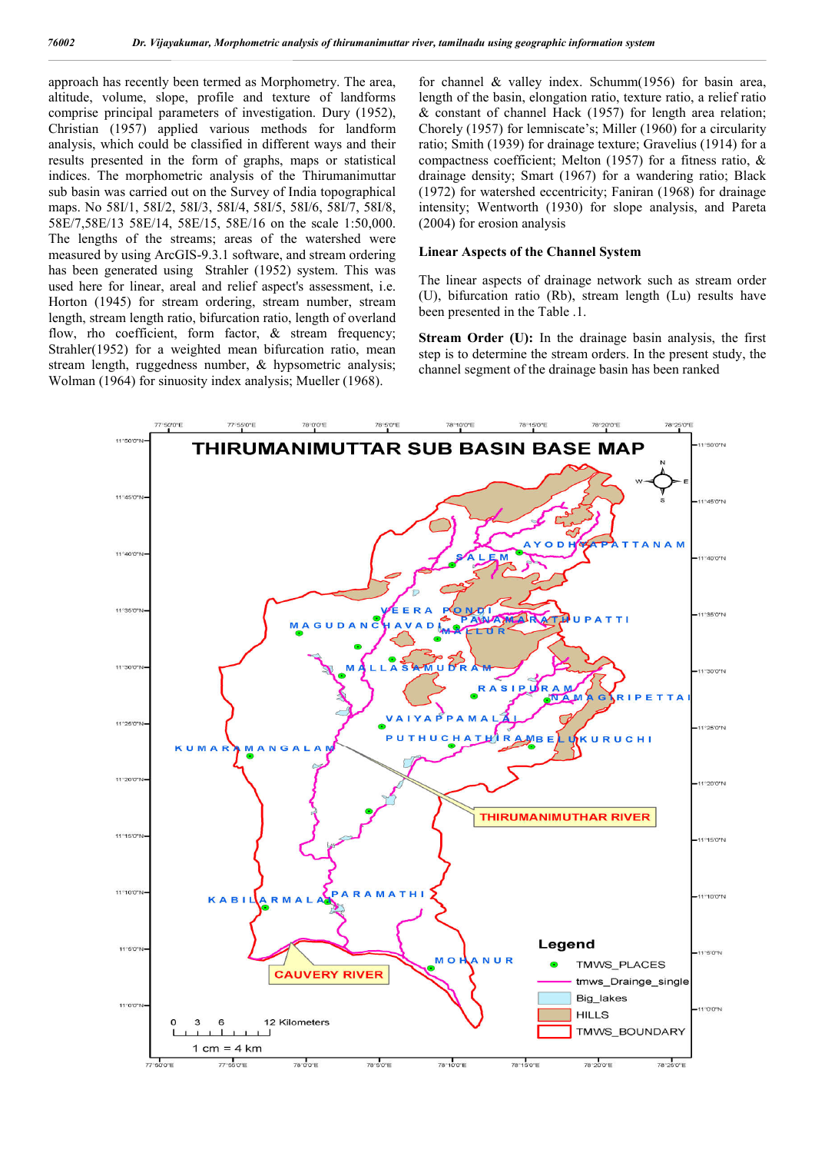approach has recently been termed as Morphometry. The area, altitude, volume, slope, profile and texture of landforms comprise principal parameters of investigation. Dury (1952), Christian (1957) applied various methods for landform analysis, which could be classified in different ways and their results presented in the form of graphs, maps or statistical indices. The morphometric analysis of the Thirumanimuttar sub basin was carried out on the Survey of India topographical maps. No 58I/1, 58I/2, 58I/3, 58I/4, 58I/5, 58I/6, 58I/7, 58I/8, 58E/7,58E/13 58E/14, 58E/15, 58E/16 on the scale 1:50,000. The lengths of the streams; areas of the watershed were measured by using ArcGIS-9.3.1 software, and stream ordering has been generated using Strahler (1952) system. This was used here for linear, areal and relief aspect's assessment, i.e. Horton (1945) for stream ordering, stream number, stream length, stream length ratio, bifurcation ratio, length of overland flow, rho coefficient, form factor,  $\&$  stream frequency; Strahler(1952) for a weighted mean bifurcation ratio, mean stream length, ruggedness number, & hypsometric analysis; Wolman (1964) for sinuosity index analysis; Mueller (1968).

for channel & valley index. Schumm(1956) for basin area, length of the basin, elongation ratio, texture ratio, a relief ratio & constant of channel Hack (1957) for length area relation; Chorely (1957) for lemniscate's; Miller (1960) for a circularity ratio; Smith (1939) for drainage texture; Gravelius (1914) for a compactness coefficient; Melton (1957) for a fitness ratio, & drainage density; Smart (1967) for a wandering ratio; Black (1972) for watershed eccentricity; Faniran (1968) for drainage intensity; Wentworth (1930) for slope analysis, and Pareta (2004) for erosion analysis

#### **Linear Aspects of the Channel System**

The linear aspects of drainage network such as stream order (U), bifurcation ratio (Rb), stream length (Lu) results have been presented in the Table .1.

**Stream Order (U):** In the drainage basin analysis, the first step is to determine the stream orders. In the present study, the channel segment of the drainage basin has been ranked

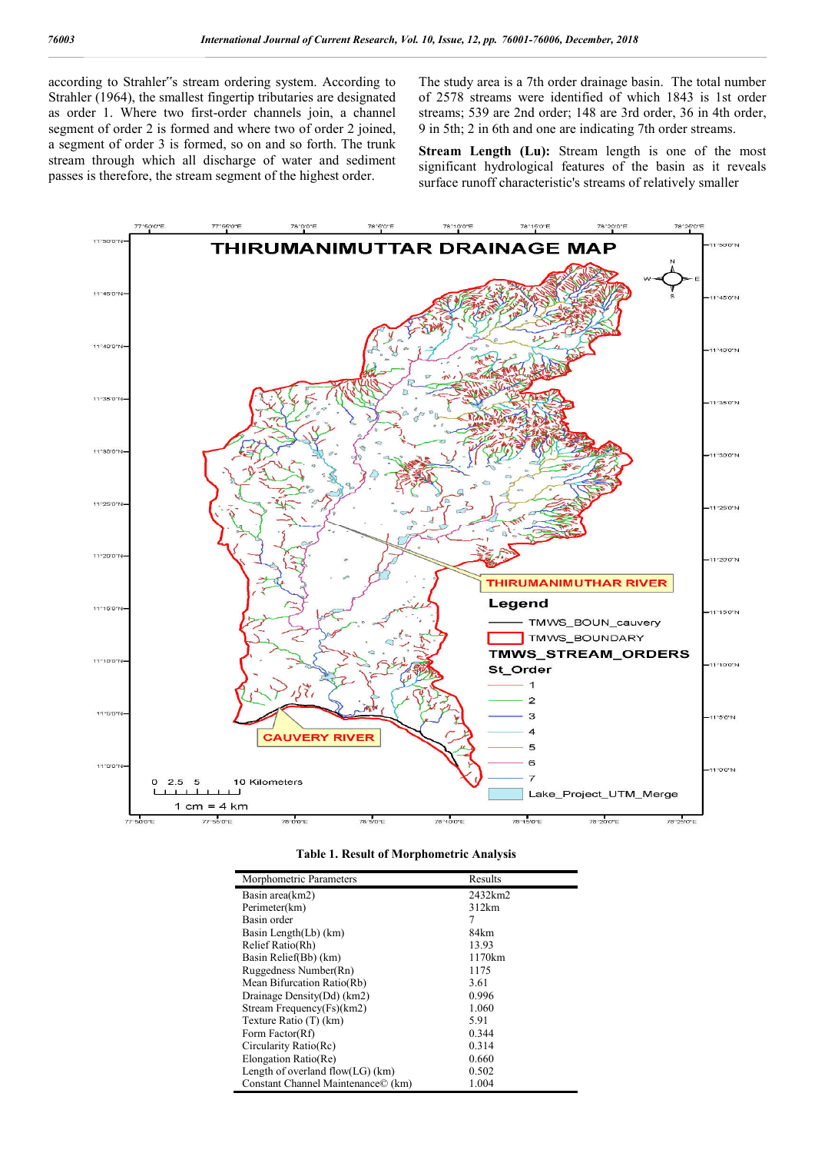according to Strahler"s stream ordering system. According to Strahler (1964), the smallest fingertip tributaries are designated as order 1. Where two first-order channels join, a channel segment of order 2 is formed and where two of order 2 joined, a segment of order 3 is formed, so on and so forth. The trunk stream through which all discharge of water and sediment passes is therefore, the stream segment of the highest order.

The study area is a 7th order drainage basin. The total number of 2578 streams were identified of which 1843 is 1st order streams; 539 are 2nd order; 148 are 3rd order, 36 in 4th order, 9 in 5th; 2 in 6th and one are indicating 7th order streams.

**Stream Length (Lu):** Stream length is one of the most significant hydrological features of the basin as it reveals surface runoff characteristic's streams of relatively smaller



| Table 1. Result of Morphometric Analysis |  |
|------------------------------------------|--|
|------------------------------------------|--|

| Morphometric Parameters              | Results |
|--------------------------------------|---------|
| Basin area(km2)                      | 2432km2 |
| Perimeter(km)                        | 312km   |
| Basin order                          | 7       |
| Basin Length(Lb) (km)                | 84km    |
| Relief Ratio(Rh)                     | 13.93   |
| Basin Relief(Bb) (km)                | 1170km  |
| Ruggedness Number(Rn)                | 1175    |
| Mean Bifurcation Ratio(Rb)           | 3.61    |
| Drainage Density(Dd) (km2)           | 0.996   |
| Stream Frequency(Fs)(km2)            | 1.060   |
| Texture Ratio (T) (km)               | 5.91    |
| Form Factor(Rf)                      | 0.344   |
| Circularity Ratio(Rc)                | 0.314   |
| Elongation Ratio(Re)                 | 0.660   |
| Length of overland flow( $LG$ ) (km) | 0.502   |
| Constant Channel Maintenance© (km)   | 1.004   |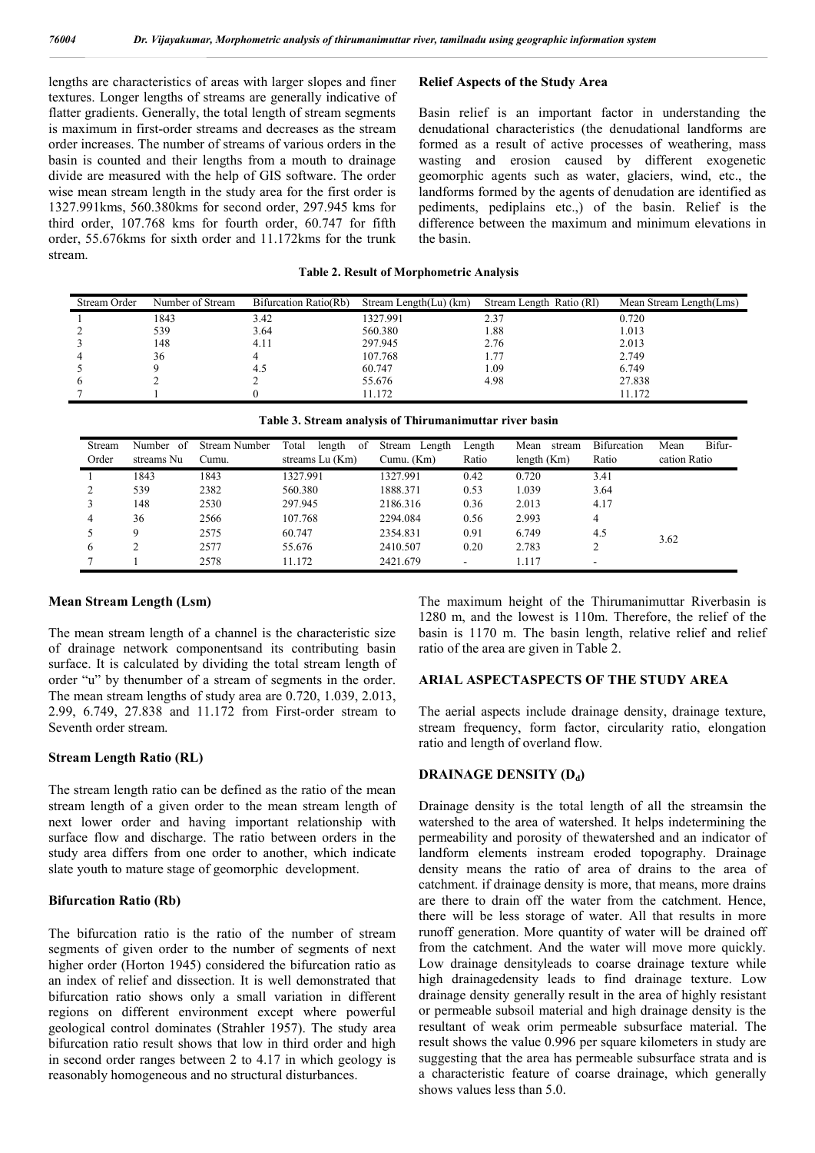lengths are characteristics of areas with larger slopes and finer textures. Longer lengths of streams are generally indicative of flatter gradients. Generally, the total length of stream segments is maximum in first-order streams and decreases as the stream order increases. The number of streams of various orders in the basin is counted and their lengths from a mouth to drainage divide are measured with the help of GIS software. The order wise mean stream length in the study area for the first order is 1327.991kms, 560.380kms for second order, 297.945 kms for third order, 107.768 kms for fourth order, 60.747 for fifth order, 55.676kms for sixth order and 11.172kms for the trunk stream.

## **Relief Aspects of the Study Area**

Basin relief is an important factor in understanding the denudational characteristics (the denudational landforms are formed as a result of active processes of weathering, mass wasting and erosion caused by different exogenetic geomorphic agents such as water, glaciers, wind, etc., the landforms formed by the agents of denudation are identified as pediments, pediplains etc.,) of the basin. Relief is the difference between the maximum and minimum elevations in the basin.

#### **Table 2. Result of Morphometric Analysis**

| Stream Order | Number of Stream | Bifurcation Ratio(Rb) | Stream Length(Lu) (km) | Stream Length Ratio (RI) | Mean Stream Length(Lms) |
|--------------|------------------|-----------------------|------------------------|--------------------------|-------------------------|
|              | 1843             | 3.42                  | 1327.991               | 2.37                     | 0.720                   |
|              | 539              | 3.64                  | 560.380                | 1.88                     | 1.013                   |
|              | 148              | 4.11                  | 297.945                | 2.76                     | 2.013                   |
|              | 36               |                       | 107.768                | l.77                     | 2.749                   |
|              |                  | 4.5                   | 60.747                 | .09                      | 6.749                   |
|              |                  |                       | 55.676                 | 4.98                     | 27.838                  |
|              |                  |                       | 11.172                 |                          | 11.172                  |

|  |  | Table 3. Stream analysis of Thirumanimuttar river basin |  |
|--|--|---------------------------------------------------------|--|
|  |  |                                                         |  |

| Stream<br>Order | Number<br>-of<br>streams Nu | Stream Number<br>Cumu. | Total<br>-of<br>length<br>streams Lu (Km) | Stream<br>Length<br>Cumu. (Km) | Length<br>Ratio | Mean<br>stream<br>length $(Km)$ | <b>Bifurcation</b><br>Ratio | Bifur-<br>Mean<br>cation Ratio |
|-----------------|-----------------------------|------------------------|-------------------------------------------|--------------------------------|-----------------|---------------------------------|-----------------------------|--------------------------------|
|                 | 1843                        | 1843                   | 1327.991                                  | 1327.991                       | 0.42            | 0.720                           | 3.41                        |                                |
|                 | 539                         | 2382                   | 560.380                                   | 1888.371                       | 0.53            | 1.039                           | 3.64                        |                                |
|                 | 148                         | 2530                   | 297.945                                   | 2186.316                       | 0.36            | 2.013                           | 4.17                        |                                |
| 4               | 36                          | 2566                   | 107.768                                   | 2294.084                       | 0.56            | 2.993                           | 4                           |                                |
|                 | 9                           | 2575                   | 60.747                                    | 2354.831                       | 0.91            | 6.749                           | 4.5                         | 3.62                           |
| 6               |                             | 2577                   | 55.676                                    | 2410.507                       | 0.20            | 2.783                           |                             |                                |
|                 |                             | 2578                   | 11.172                                    | 2421.679                       | ۰               | 1.117                           | $\overline{\phantom{a}}$    |                                |

#### **Mean Stream Length (Lsm)**

The mean stream length of a channel is the characteristic size of drainage network componentsand its contributing basin surface. It is calculated by dividing the total stream length of order "u" by thenumber of a stream of segments in the order. The mean stream lengths of study area are 0.720, 1.039, 2.013, 2.99, 6.749, 27.838 and 11.172 from First-order stream to Seventh order stream.

### **Stream Length Ratio (RL)**

The stream length ratio can be defined as the ratio of the mean stream length of a given order to the mean stream length of next lower order and having important relationship with surface flow and discharge. The ratio between orders in the study area differs from one order to another, which indicate slate youth to mature stage of geomorphic development.

#### **Bifurcation Ratio (Rb)**

The bifurcation ratio is the ratio of the number of stream segments of given order to the number of segments of next higher order (Horton 1945) considered the bifurcation ratio as an index of relief and dissection. It is well demonstrated that bifurcation ratio shows only a small variation in different regions on different environment except where powerful geological control dominates (Strahler 1957). The study area bifurcation ratio result shows that low in third order and high in second order ranges between 2 to 4.17 in which geology is reasonably homogeneous and no structural disturbances.

The maximum height of the Thirumanimuttar Riverbasin is 1280 m, and the lowest is 110m. Therefore, the relief of the basin is 1170 m. The basin length, relative relief and relief ratio of the area are given in Table 2.

### **ARIAL ASPECTASPECTS OF THE STUDY AREA**

The aerial aspects include drainage density, drainage texture, stream frequency, form factor, circularity ratio, elongation ratio and length of overland flow.

#### **DRAINAGE DENSITY (Dd)**

Drainage density is the total length of all the streamsin the watershed to the area of watershed. It helps indetermining the permeability and porosity of thewatershed and an indicator of landform elements instream eroded topography. Drainage density means the ratio of area of drains to the area of catchment. if drainage density is more, that means, more drains are there to drain off the water from the catchment. Hence, there will be less storage of water. All that results in more runoff generation. More quantity of water will be drained off from the catchment. And the water will move more quickly. Low drainage densityleads to coarse drainage texture while high drainagedensity leads to find drainage texture. Low drainage density generally result in the area of highly resistant or permeable subsoil material and high drainage density is the resultant of weak orim permeable subsurface material. The result shows the value 0.996 per square kilometers in study are suggesting that the area has permeable subsurface strata and is a characteristic feature of coarse drainage, which generally shows values less than 5.0.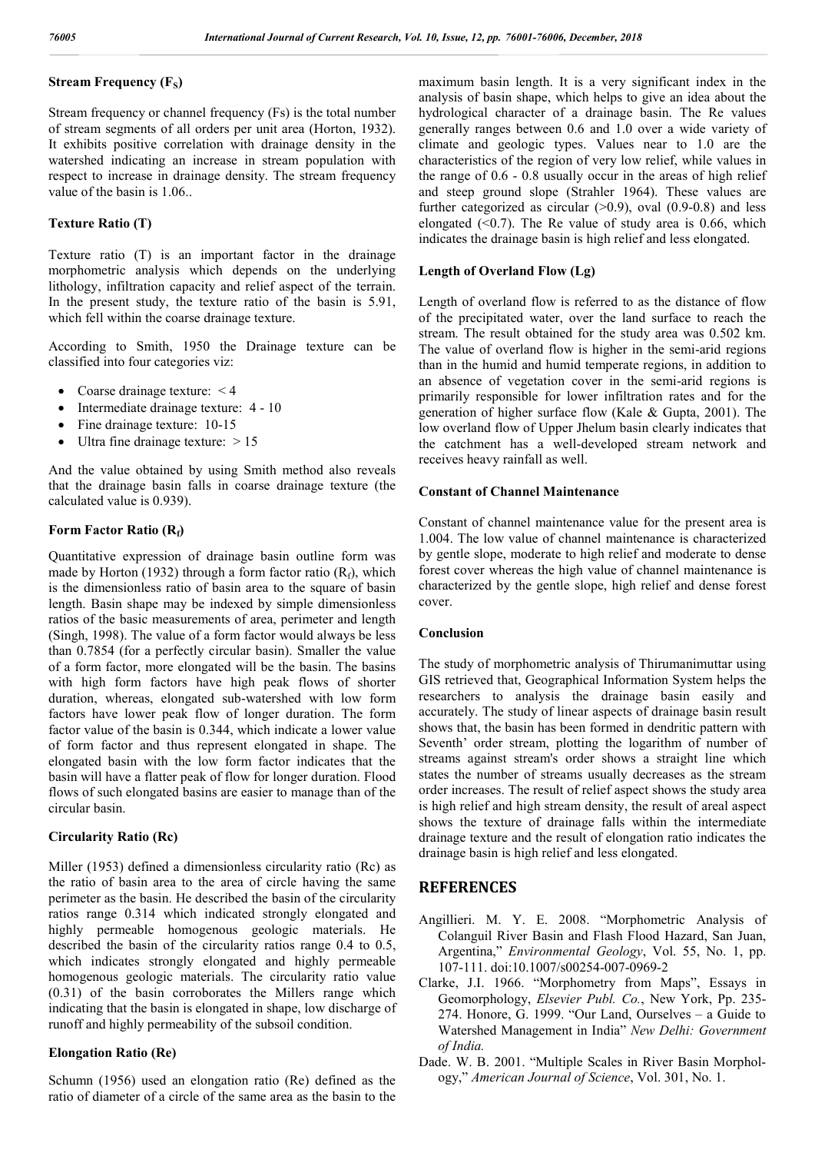## **Stream Frequency (F<sub>S</sub>)**

Stream frequency or channel frequency (Fs) is the total number of stream segments of all orders per unit area (Horton, 1932). It exhibits positive correlation with drainage density in the watershed indicating an increase in stream population with respect to increase in drainage density. The stream frequency value of the basin is 1.06..

## **Texture Ratio (T)**

Texture ratio (T) is an important factor in the drainage morphometric analysis which depends on the underlying lithology, infiltration capacity and relief aspect of the terrain. In the present study, the texture ratio of the basin is 5.91, which fell within the coarse drainage texture.

According to Smith, 1950 the Drainage texture can be classified into four categories viz:

- Coarse drainage texture: < 4
- Intermediate drainage texture: 4 10
- Fine drainage texture: 10-15
- Ultra fine drainage texture:  $> 15$

And the value obtained by using Smith method also reveals that the drainage basin falls in coarse drainage texture (the calculated value is 0.939).

## **Form Factor Ratio (Rf)**

Quantitative expression of drainage basin outline form was made by Horton (1932) through a form factor ratio  $(R_f)$ , which is the dimensionless ratio of basin area to the square of basin length. Basin shape may be indexed by simple dimensionless ratios of the basic measurements of area, perimeter and length (Singh, 1998). The value of a form factor would always be less than 0.7854 (for a perfectly circular basin). Smaller the value of a form factor, more elongated will be the basin. The basins with high form factors have high peak flows of shorter duration, whereas, elongated sub-watershed with low form factors have lower peak flow of longer duration. The form factor value of the basin is 0.344, which indicate a lower value of form factor and thus represent elongated in shape. The elongated basin with the low form factor indicates that the basin will have a flatter peak of flow for longer duration. Flood flows of such elongated basins are easier to manage than of the circular basin.

### **Circularity Ratio (Rc)**

Miller (1953) defined a dimensionless circularity ratio (Rc) as the ratio of basin area to the area of circle having the same perimeter as the basin. He described the basin of the circularity ratios range 0.314 which indicated strongly elongated and highly permeable homogenous geologic materials. He described the basin of the circularity ratios range 0.4 to 0.5, which indicates strongly elongated and highly permeable homogenous geologic materials. The circularity ratio value (0.31) of the basin corroborates the Millers range which indicating that the basin is elongated in shape, low discharge of runoff and highly permeability of the subsoil condition.

### **Elongation Ratio (Re)**

Schumn (1956) used an elongation ratio (Re) defined as the ratio of diameter of a circle of the same area as the basin to the

maximum basin length. It is a very significant index in the analysis of basin shape, which helps to give an idea about the hydrological character of a drainage basin. The Re values generally ranges between 0.6 and 1.0 over a wide variety of climate and geologic types. Values near to 1.0 are the characteristics of the region of very low relief, while values in the range of 0.6 - 0.8 usually occur in the areas of high relief and steep ground slope (Strahler 1964). These values are further categorized as circular  $(>0.9)$ , oval  $(0.9-0.8)$  and less elongated  $( $0.7$ ). The Re value of study area is 0.66, which$ indicates the drainage basin is high relief and less elongated.

### **Length of Overland Flow (Lg)**

Length of overland flow is referred to as the distance of flow of the precipitated water, over the land surface to reach the stream. The result obtained for the study area was 0.502 km. The value of overland flow is higher in the semi-arid regions than in the humid and humid temperate regions, in addition to an absence of vegetation cover in the semi-arid regions is primarily responsible for lower infiltration rates and for the generation of higher surface flow (Kale & Gupta, 2001). The low overland flow of Upper Jhelum basin clearly indicates that the catchment has a well-developed stream network and receives heavy rainfall as well.

#### **Constant of Channel Maintenance**

Constant of channel maintenance value for the present area is 1.004. The low value of channel maintenance is characterized by gentle slope, moderate to high relief and moderate to dense forest cover whereas the high value of channel maintenance is characterized by the gentle slope, high relief and dense forest cover.

#### **Conclusion**

The study of morphometric analysis of Thirumanimuttar using GIS retrieved that, Geographical Information System helps the researchers to analysis the drainage basin easily and accurately. The study of linear aspects of drainage basin result shows that, the basin has been formed in dendritic pattern with Seventh' order stream, plotting the logarithm of number of streams against stream's order shows a straight line which states the number of streams usually decreases as the stream order increases. The result of relief aspect shows the study area is high relief and high stream density, the result of areal aspect shows the texture of drainage falls within the intermediate drainage texture and the result of elongation ratio indicates the drainage basin is high relief and less elongated.

## **REFERENCES**

- Angillieri. M. Y. E. 2008. "Morphometric Analysis of Colanguil River Basin and Flash Flood Hazard, San Juan, Argentina," *Environmental Geology*, Vol. 55, No. 1, pp. 107-111. doi:10.1007/s00254-007-0969-2
- Clarke, J.I. 1966. "Morphometry from Maps", Essays in Geomorphology, *Elsevier Publ. Co.*, New York, Pp. 235- 274. Honore, G. 1999. "Our Land, Ourselves – a Guide to Watershed Management in India" *New Delhi: Government of India.*
- Dade. W. B. 2001. "Multiple Scales in River Basin Morphology," *American Journal of Science*, Vol. 301, No. 1.